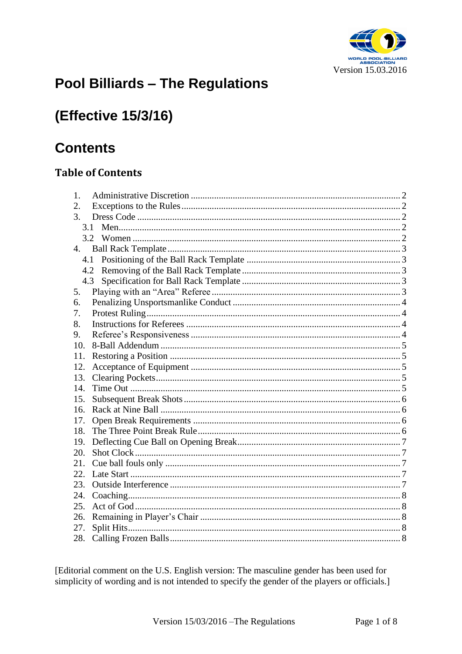

## **Pool Billiards - The Regulations**

## **(Effective 15/3/16)**

#### **Contents**

#### **Table of Contents**

| 1.  |     |  |
|-----|-----|--|
| 2.  |     |  |
| 3.  |     |  |
|     |     |  |
|     |     |  |
| 4.  |     |  |
|     |     |  |
|     | 4.2 |  |
| 4.3 |     |  |
| 5.  |     |  |
| 6.  |     |  |
| 7.  |     |  |
| 8.  |     |  |
| 9.  |     |  |
| 10. |     |  |
| 11. |     |  |
| 12. |     |  |
| 13. |     |  |
| 14. |     |  |
| 15. |     |  |
| 16. |     |  |
| 17. |     |  |
| 18. |     |  |
| 19. |     |  |
| 20. |     |  |
| 21. |     |  |
| 22. |     |  |
| 23. |     |  |
| 24. |     |  |
| 25. |     |  |
| 26. |     |  |
| 27. |     |  |
| 28. |     |  |

[Editorial comment on the U.S. English version: The masculine gender has been used for simplicity of wording and is not intended to specify the gender of the players or officials.]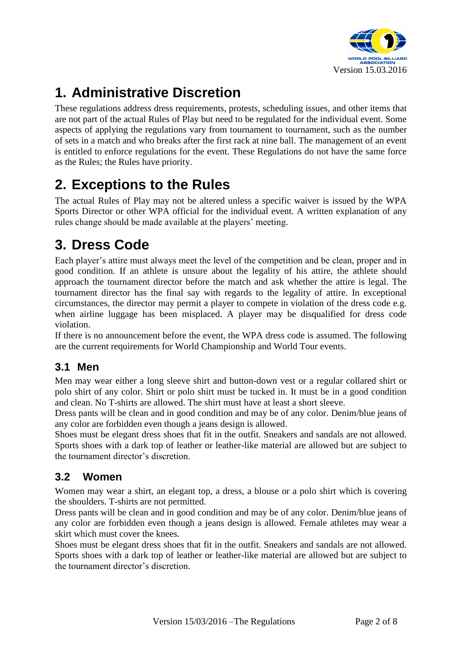

# <span id="page-1-0"></span>**1. Administrative Discretion**

These regulations address dress requirements, protests, scheduling issues, and other items that are not part of the actual Rules of Play but need to be regulated for the individual event. Some aspects of applying the regulations vary from tournament to tournament, such as the number of sets in a match and who breaks after the first rack at nine ball. The management of an event is entitled to enforce regulations for the event. These Regulations do not have the same force as the Rules; the Rules have priority.

#### <span id="page-1-1"></span>**2. Exceptions to the Rules**

The actual Rules of Play may not be altered unless a specific waiver is issued by the WPA Sports Director or other WPA official for the individual event. A written explanation of any rules change should be made available at the players' meeting.

#### <span id="page-1-2"></span>**3. Dress Code**

Each player's attire must always meet the level of the competition and be clean, proper and in good condition. If an athlete is unsure about the legality of his attire, the athlete should approach the tournament director before the match and ask whether the attire is legal. The tournament director has the final say with regards to the legality of attire. In exceptional circumstances, the director may permit a player to compete in violation of the dress code e.g. when airline luggage has been misplaced. A player may be disqualified for dress code violation.

If there is no announcement before the event, the WPA dress code is assumed. The following are the current requirements for World Championship and World Tour events.

#### <span id="page-1-3"></span>**3.1 Men**

Men may wear either a long sleeve shirt and button-down vest or a regular collared shirt or polo shirt of any color. Shirt or polo shirt must be tucked in. It must be in a good condition and clean. No T-shirts are allowed. The shirt must have at least a short sleeve.

Dress pants will be clean and in good condition and may be of any color. Denim/blue jeans of any color are forbidden even though a jeans design is allowed.

Shoes must be elegant dress shoes that fit in the outfit. Sneakers and sandals are not allowed. Sports shoes with a dark top of leather or leather-like material are allowed but are subject to the tournament director's discretion.

#### <span id="page-1-4"></span>**3.2 Women**

Women may wear a shirt, an elegant top, a dress, a blouse or a polo shirt which is covering the shoulders. T-shirts are not permitted.

Dress pants will be clean and in good condition and may be of any color. Denim/blue jeans of any color are forbidden even though a jeans design is allowed. Female athletes may wear a skirt which must cover the knees.

Shoes must be elegant dress shoes that fit in the outfit. Sneakers and sandals are not allowed. Sports shoes with a dark top of leather or leather-like material are allowed but are subject to the tournament director's discretion.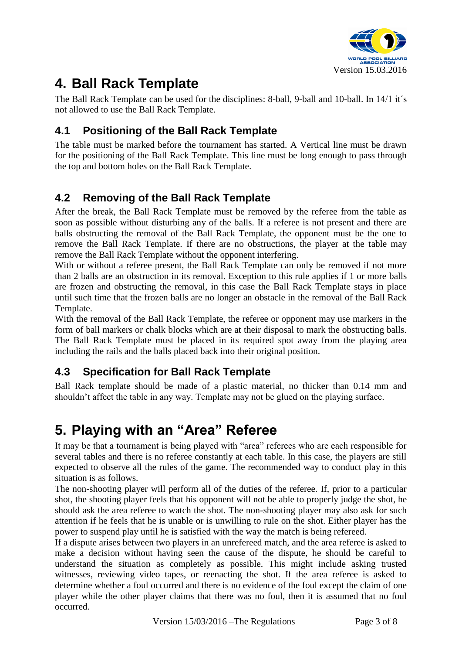

## <span id="page-2-0"></span>**4. Ball Rack Template**

The Ball Rack Template can be used for the disciplines: 8-ball, 9-ball and 10-ball. In 14/1 it´s not allowed to use the Ball Rack Template.

#### <span id="page-2-1"></span>**4.1 Positioning of the Ball Rack Template**

The table must be marked before the tournament has started. A Vertical line must be drawn for the positioning of the Ball Rack Template. This line must be long enough to pass through the top and bottom holes on the Ball Rack Template.

#### <span id="page-2-2"></span>**4.2 Removing of the Ball Rack Template**

After the break, the Ball Rack Template must be removed by the referee from the table as soon as possible without disturbing any of the balls. If a referee is not present and there are balls obstructing the removal of the Ball Rack Template, the opponent must be the one to remove the Ball Rack Template. If there are no obstructions, the player at the table may remove the Ball Rack Template without the opponent interfering.

With or without a referee present, the Ball Rack Template can only be removed if not more than 2 balls are an obstruction in its removal. Exception to this rule applies if 1 or more balls are frozen and obstructing the removal, in this case the Ball Rack Template stays in place until such time that the frozen balls are no longer an obstacle in the removal of the Ball Rack Template.

With the removal of the Ball Rack Template, the referee or opponent may use markers in the form of ball markers or chalk blocks which are at their disposal to mark the obstructing balls. The Ball Rack Template must be placed in its required spot away from the playing area including the rails and the balls placed back into their original position.

#### <span id="page-2-3"></span>**4.3 Specification for Ball Rack Template**

Ball Rack template should be made of a plastic material, no thicker than 0.14 mm and shouldn't affect the table in any way. Template may not be glued on the playing surface.

#### <span id="page-2-4"></span>**5. Playing with an "Area" Referee**

It may be that a tournament is being played with "area" referees who are each responsible for several tables and there is no referee constantly at each table. In this case, the players are still expected to observe all the rules of the game. The recommended way to conduct play in this situation is as follows.

The non-shooting player will perform all of the duties of the referee. If, prior to a particular shot, the shooting player feels that his opponent will not be able to properly judge the shot, he should ask the area referee to watch the shot. The non-shooting player may also ask for such attention if he feels that he is unable or is unwilling to rule on the shot. Either player has the power to suspend play until he is satisfied with the way the match is being refereed.

If a dispute arises between two players in an unrefereed match, and the area referee is asked to make a decision without having seen the cause of the dispute, he should be careful to understand the situation as completely as possible. This might include asking trusted witnesses, reviewing video tapes, or reenacting the shot. If the area referee is asked to determine whether a foul occurred and there is no evidence of the foul except the claim of one player while the other player claims that there was no foul, then it is assumed that no foul occurred.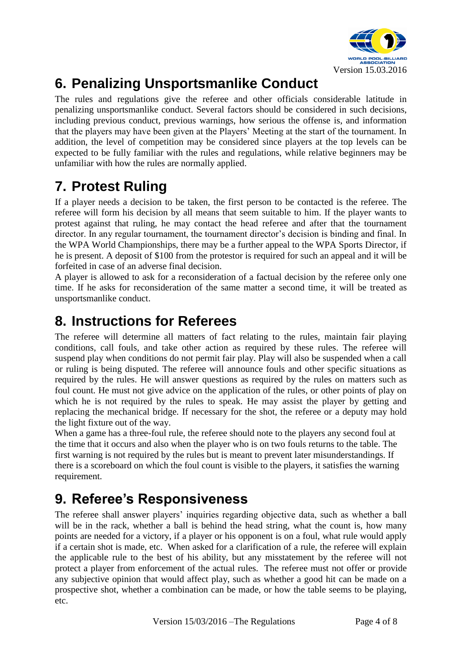

## <span id="page-3-0"></span>**6. Penalizing Unsportsmanlike Conduct**

The rules and regulations give the referee and other officials considerable latitude in penalizing unsportsmanlike conduct. Several factors should be considered in such decisions, including previous conduct, previous warnings, how serious the offense is, and information that the players may have been given at the Players' Meeting at the start of the tournament. In addition, the level of competition may be considered since players at the top levels can be expected to be fully familiar with the rules and regulations, while relative beginners may be unfamiliar with how the rules are normally applied.

# <span id="page-3-1"></span>**7. Protest Ruling**

If a player needs a decision to be taken, the first person to be contacted is the referee. The referee will form his decision by all means that seem suitable to him. If the player wants to protest against that ruling, he may contact the head referee and after that the tournament director. In any regular tournament, the tournament director's decision is binding and final. In the WPA World Championships, there may be a further appeal to the WPA Sports Director, if he is present. A deposit of \$100 from the protestor is required for such an appeal and it will be forfeited in case of an adverse final decision.

A player is allowed to ask for a reconsideration of a factual decision by the referee only one time. If he asks for reconsideration of the same matter a second time, it will be treated as unsportsmanlike conduct.

#### <span id="page-3-2"></span>**8. Instructions for Referees**

The referee will determine all matters of fact relating to the rules, maintain fair playing conditions, call fouls, and take other action as required by these rules. The referee will suspend play when conditions do not permit fair play. Play will also be suspended when a call or ruling is being disputed. The referee will announce fouls and other specific situations as required by the rules. He will answer questions as required by the rules on matters such as foul count. He must not give advice on the application of the rules, or other points of play on which he is not required by the rules to speak. He may assist the player by getting and replacing the mechanical bridge. If necessary for the shot, the referee or a deputy may hold the light fixture out of the way.

When a game has a three-foul rule, the referee should note to the players any second foul at the time that it occurs and also when the player who is on two fouls returns to the table. The first warning is not required by the rules but is meant to prevent later misunderstandings. If there is a scoreboard on which the foul count is visible to the players, it satisfies the warning requirement.

## <span id="page-3-3"></span>**9. Referee's Responsiveness**

The referee shall answer players' inquiries regarding objective data, such as whether a ball will be in the rack, whether a ball is behind the head string, what the count is, how many points are needed for a victory, if a player or his opponent is on a foul, what rule would apply if a certain shot is made, etc. When asked for a clarification of a rule, the referee will explain the applicable rule to the best of his ability, but any misstatement by the referee will not protect a player from enforcement of the actual rules. The referee must not offer or provide any subjective opinion that would affect play, such as whether a good hit can be made on a prospective shot, whether a combination can be made, or how the table seems to be playing, etc.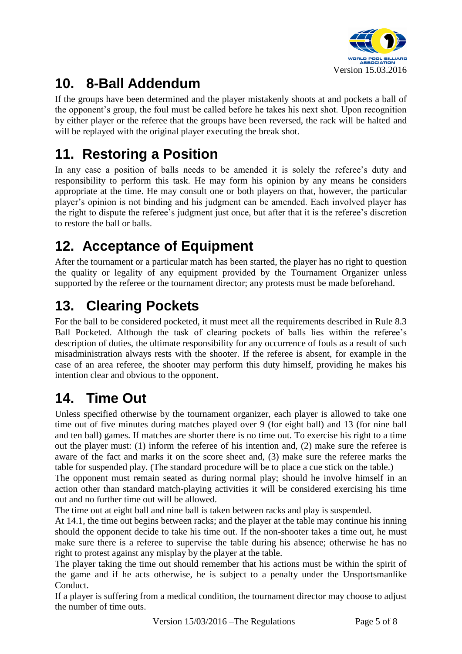

## <span id="page-4-0"></span>**10. 8-Ball Addendum**

If the groups have been determined and the player mistakenly shoots at and pockets a ball of the opponent's group, the foul must be called before he takes his next shot. Upon recognition by either player or the referee that the groups have been reversed, the rack will be halted and will be replayed with the original player executing the break shot.

### <span id="page-4-1"></span>**11. Restoring a Position**

In any case a position of balls needs to be amended it is solely the referee's duty and responsibility to perform this task. He may form his opinion by any means he considers appropriate at the time. He may consult one or both players on that, however, the particular player's opinion is not binding and his judgment can be amended. Each involved player has the right to dispute the referee's judgment just once, but after that it is the referee's discretion to restore the ball or balls.

## <span id="page-4-2"></span>**12. Acceptance of Equipment**

After the tournament or a particular match has been started, the player has no right to question the quality or legality of any equipment provided by the Tournament Organizer unless supported by the referee or the tournament director; any protests must be made beforehand.

## <span id="page-4-3"></span>**13. Clearing Pockets**

For the ball to be considered pocketed, it must meet all the requirements described in Rule 8.3 Ball Pocketed. Although the task of clearing pockets of balls lies within the referee's description of duties, the ultimate responsibility for any occurrence of fouls as a result of such misadministration always rests with the shooter. If the referee is absent, for example in the case of an area referee, the shooter may perform this duty himself, providing he makes his intention clear and obvious to the opponent.

### <span id="page-4-4"></span>**14. Time Out**

Unless specified otherwise by the tournament organizer, each player is allowed to take one time out of five minutes during matches played over 9 (for eight ball) and 13 (for nine ball and ten ball) games. If matches are shorter there is no time out. To exercise his right to a time out the player must: (1) inform the referee of his intention and, (2) make sure the referee is aware of the fact and marks it on the score sheet and, (3) make sure the referee marks the table for suspended play. (The standard procedure will be to place a cue stick on the table.)

The opponent must remain seated as during normal play; should he involve himself in an action other than standard match-playing activities it will be considered exercising his time out and no further time out will be allowed.

The time out at eight ball and nine ball is taken between racks and play is suspended.

At 14.1, the time out begins between racks; and the player at the table may continue his inning should the opponent decide to take his time out. If the non-shooter takes a time out, he must make sure there is a referee to supervise the table during his absence; otherwise he has no right to protest against any misplay by the player at the table.

The player taking the time out should remember that his actions must be within the spirit of the game and if he acts otherwise, he is subject to a penalty under the Unsportsmanlike Conduct.

If a player is suffering from a medical condition, the tournament director may choose to adjust the number of time outs.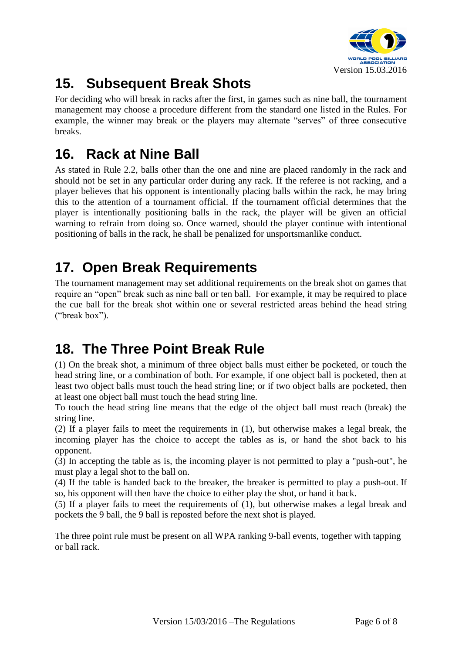

## <span id="page-5-0"></span>**15. Subsequent Break Shots**

For deciding who will break in racks after the first, in games such as nine ball, the tournament management may choose a procedure different from the standard one listed in the Rules. For example, the winner may break or the players may alternate "serves" of three consecutive breaks.

#### <span id="page-5-1"></span>**16. Rack at Nine Ball**

As stated in Rule 2.2, balls other than the one and nine are placed randomly in the rack and should not be set in any particular order during any rack. If the referee is not racking, and a player believes that his opponent is intentionally placing balls within the rack, he may bring this to the attention of a tournament official. If the tournament official determines that the player is intentionally positioning balls in the rack, the player will be given an official warning to refrain from doing so. Once warned, should the player continue with intentional positioning of balls in the rack, he shall be penalized for unsportsmanlike conduct.

### <span id="page-5-2"></span>**17. Open Break Requirements**

The tournament management may set additional requirements on the break shot on games that require an "open" break such as nine ball or ten ball. For example, it may be required to place the cue ball for the break shot within one or several restricted areas behind the head string ("break box").

### <span id="page-5-3"></span>**18. The Three Point Break Rule**

(1) On the break shot, a minimum of three object balls must either be pocketed, or touch the head string line, or a combination of both. For example, if one object ball is pocketed, then at least two object balls must touch the head string line; or if two object balls are pocketed, then at least one object ball must touch the head string line.

To touch the head string line means that the edge of the object ball must reach (break) the string line.

(2) If a player fails to meet the requirements in (1), but otherwise makes a legal break, the incoming player has the choice to accept the tables as is, or hand the shot back to his opponent.

(3) In accepting the table as is, the incoming player is not permitted to play a "push-out", he must play a legal shot to the ball on.

(4) If the table is handed back to the breaker, the breaker is permitted to play a push-out. If so, his opponent will then have the choice to either play the shot, or hand it back.

(5) If a player fails to meet the requirements of (1), but otherwise makes a legal break and pockets the 9 ball, the 9 ball is reposted before the next shot is played.

The three point rule must be present on all WPA ranking 9-ball events, together with tapping or ball rack.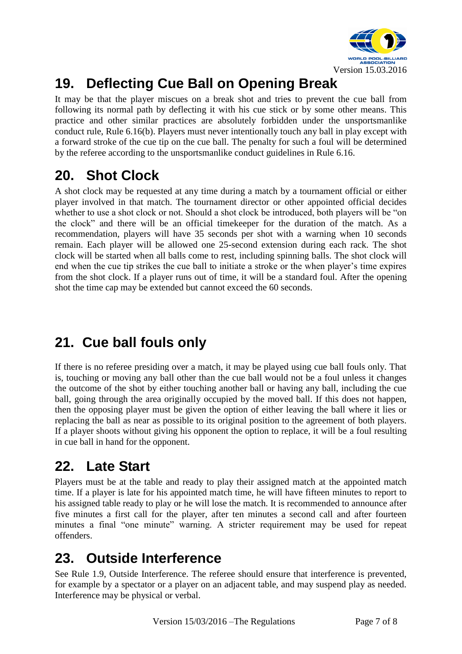

# <span id="page-6-0"></span>**19. Deflecting Cue Ball on Opening Break**

It may be that the player miscues on a break shot and tries to prevent the cue ball from following its normal path by deflecting it with his cue stick or by some other means. This practice and other similar practices are absolutely forbidden under the unsportsmanlike conduct rule, Rule 6.16(b). Players must never intentionally touch any ball in play except with a forward stroke of the cue tip on the cue ball. The penalty for such a foul will be determined by the referee according to the unsportsmanlike conduct guidelines in Rule 6.16.

#### <span id="page-6-1"></span>**20. Shot Clock**

A shot clock may be requested at any time during a match by a tournament official or either player involved in that match. The tournament director or other appointed official decides whether to use a shot clock or not. Should a shot clock be introduced, both players will be "on the clock" and there will be an official timekeeper for the duration of the match. As a recommendation, players will have 35 seconds per shot with a warning when 10 seconds remain. Each player will be allowed one 25-second extension during each rack. The shot clock will be started when all balls come to rest, including spinning balls. The shot clock will end when the cue tip strikes the cue ball to initiate a stroke or the when player's time expires from the shot clock. If a player runs out of time, it will be a standard foul. After the opening shot the time cap may be extended but cannot exceed the 60 seconds.

### <span id="page-6-2"></span>**21. Cue ball fouls only**

If there is no referee presiding over a match, it may be played using cue ball fouls only. That is, touching or moving any ball other than the cue ball would not be a foul unless it changes the outcome of the shot by either touching another ball or having any ball, including the cue ball, going through the area originally occupied by the moved ball. If this does not happen, then the opposing player must be given the option of either leaving the ball where it lies or replacing the ball as near as possible to its original position to the agreement of both players. If a player shoots without giving his opponent the option to replace, it will be a foul resulting in cue ball in hand for the opponent.

#### <span id="page-6-3"></span>**22. Late Start**

Players must be at the table and ready to play their assigned match at the appointed match time. If a player is late for his appointed match time, he will have fifteen minutes to report to his assigned table ready to play or he will lose the match. It is recommended to announce after five minutes a first call for the player, after ten minutes a second call and after fourteen minutes a final "one minute" warning. A stricter requirement may be used for repeat offenders.

#### <span id="page-6-4"></span>**23. Outside Interference**

See Rule 1.9, Outside Interference. The referee should ensure that interference is prevented, for example by a spectator or a player on an adjacent table, and may suspend play as needed. Interference may be physical or verbal.